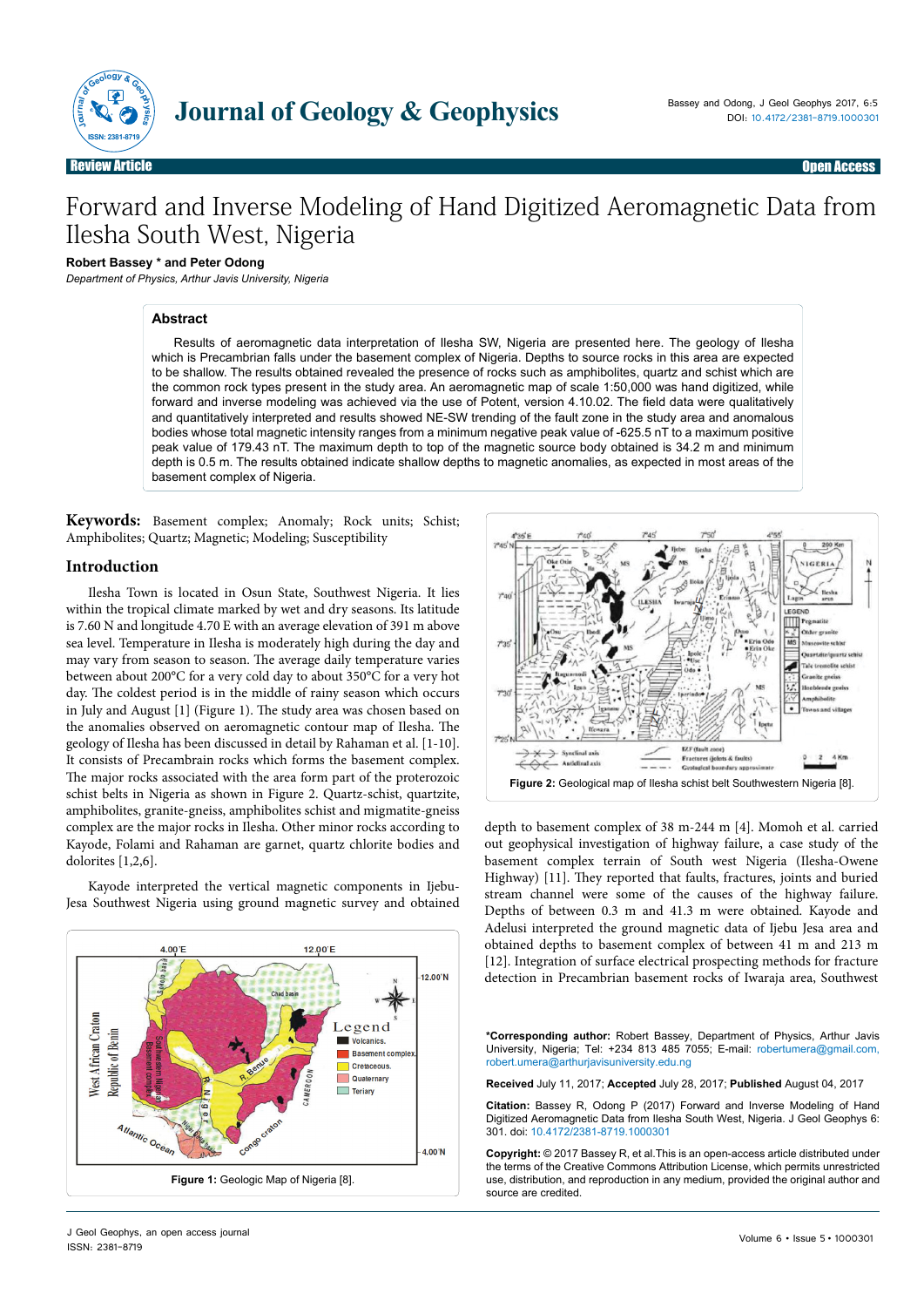

# Forward and Inverse Modeling of Hand Digitized Aeromagnetic Data from Ilesha South West, Nigeria

# **Robert Bassey \* and Peter Odong**

*Department of Physics, Arthur Javis University, Nigeria*

## **Abstract**

Results of aeromagnetic data interpretation of Ilesha SW, Nigeria are presented here. The geology of Ilesha which is Precambrian falls under the basement complex of Nigeria. Depths to source rocks in this area are expected to be shallow. The results obtained revealed the presence of rocks such as amphibolites, quartz and schist which are the common rock types present in the study area. An aeromagnetic map of scale 1:50,000 was hand digitized, while forward and inverse modeling was achieved via the use of Potent, version 4.10.02. The field data were qualitatively and quantitatively interpreted and results showed NE-SW trending of the fault zone in the study area and anomalous bodies whose total magnetic intensity ranges from a minimum negative peak value of -625.5 nT to a maximum positive peak value of 179.43 nT. The maximum depth to top of the magnetic source body obtained is 34.2 m and minimum depth is 0.5 m. The results obtained indicate shallow depths to magnetic anomalies, as expected in most areas of the basement complex of Nigeria.

**Keywords:** Basement complex; Anomaly; Rock units; Schist; Amphibolites; Quartz; Magnetic; Modeling; Susceptibility

#### **Introduction**

Ilesha Town is located in Osun State, Southwest Nigeria. It lies within the tropical climate marked by wet and dry seasons. Its latitude is 7.60 N and longitude 4.70 E with an average elevation of 391 m above sea level. Temperature in Ilesha is moderately high during the day and may vary from season to season. The average daily temperature varies between about 200°C for a very cold day to about 350°C for a very hot day. The coldest period is in the middle of rainy season which occurs in July and August [1] (Figure 1). The study area was chosen based on the anomalies observed on aeromagnetic contour map of Ilesha. The geology of Ilesha has been discussed in detail by Rahaman et al. [1-10]. It consists of Precambrain rocks which forms the basement complex. The major rocks associated with the area form part of the proterozoic schist belts in Nigeria as shown in Figure 2. Quartz-schist, quartzite, amphibolites, granite-gneiss, amphibolites schist and migmatite-gneiss complex are the major rocks in Ilesha. Other minor rocks according to Kayode, Folami and Rahaman are garnet, quartz chlorite bodies and dolorites [1,2,6].

Kayode interpreted the vertical magnetic components in Ijebu-Jesa Southwest Nigeria using ground magnetic survey and obtained





out geophysical investigation of highway failure, a case study of the basement complex terrain of South west Nigeria (Ilesha-Owene Highway) [11]. They reported that faults, fractures, joints and buried stream channel were some of the causes of the highway failure. Depths of between 0.3 m and 41.3 m were obtained. Kayode and Adelusi interpreted the ground magnetic data of Ijebu Jesa area and obtained depths to basement complex of between 41 m and 213 m [12]. Integration of surface electrical prospecting methods for fracture detection in Precambrian basement rocks of Iwaraja area, Southwest

**\*Corresponding author:** Robert Bassey, Department of Physics, Arthur Javis University, Nigeria; Tel: +234 813 485 7055; E-mail: [robertumera@gmail.com](mailto:robertumera@gmail.com), [robert.umera@arthurjavisuniversity.edu.ng](mailto:robert.umera@arthurjavisuniversity.edu.ng)

**Received** July 11, 2017; **Accepted** July 28, 2017; **Published** August 04, 2017

**Citation:** Bassey R, Odong P (2017) Forward and Inverse Modeling of Hand Digitized Aeromagnetic Data from Ilesha South West, Nigeria. J Geol Geophys 6: 301. doi: 10.4172/2381-8719.1000301

**Copyright:** © 2017 Bassey R, et al.This is an open-access article distributed under the terms of the Creative Commons Attribution License, which permits unrestricted use, distribution, and reproduction in any medium, provided the original author and source are credited.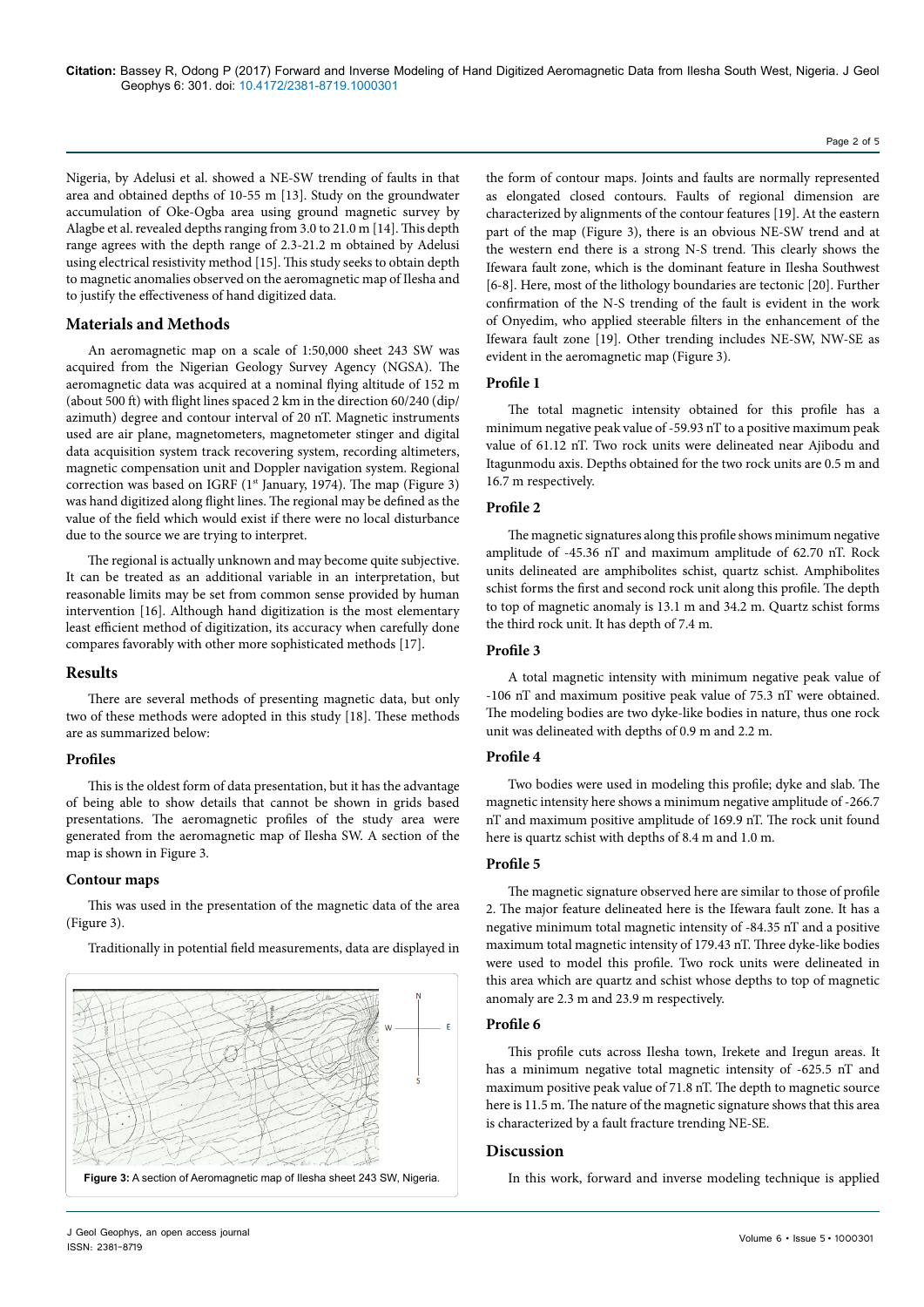Page 2 of 5

Nigeria, by Adelusi et al. showed a NE-SW trending of faults in that area and obtained depths of 10-55 m [13]. Study on the groundwater accumulation of Oke-Ogba area using ground magnetic survey by Alagbe et al. revealed depths ranging from 3.0 to 21.0 m [14]. This depth range agrees with the depth range of 2.3-21.2 m obtained by Adelusi using electrical resistivity method [15]. This study seeks to obtain depth to magnetic anomalies observed on the aeromagnetic map of Ilesha and to justify the effectiveness of hand digitized data.

# **Materials and Methods**

An aeromagnetic map on a scale of 1:50,000 sheet 243 SW was acquired from the Nigerian Geology Survey Agency (NGSA). The aeromagnetic data was acquired at a nominal flying altitude of 152 m (about 500 ft) with flight lines spaced 2 km in the direction 60/240 (dip/ azimuth) degree and contour interval of 20 nT. Magnetic instruments used are air plane, magnetometers, magnetometer stinger and digital data acquisition system track recovering system, recording altimeters, magnetic compensation unit and Doppler navigation system. Regional correction was based on IGRF (1<sup>st</sup> January, 1974). The map (Figure 3) was hand digitized along flight lines. The regional may be defined as the value of the field which would exist if there were no local disturbance due to the source we are trying to interpret.

The regional is actually unknown and may become quite subjective. It can be treated as an additional variable in an interpretation, but reasonable limits may be set from common sense provided by human intervention [16]. Although hand digitization is the most elementary least efficient method of digitization, its accuracy when carefully done compares favorably with other more sophisticated methods [17].

# **Results**

There are several methods of presenting magnetic data, but only two of these methods were adopted in this study [18]. These methods are as summarized below:

# **Profiles**

This is the oldest form of data presentation, but it has the advantage of being able to show details that cannot be shown in grids based presentations. The aeromagnetic profiles of the study area were generated from the aeromagnetic map of Ilesha SW. A section of the map is shown in Figure 3.

# **Contour maps**

This was used in the presentation of the magnetic data of the area (Figure 3).

Traditionally in potential field measurements, data are displayed in



the form of contour maps. Joints and faults are normally represented as elongated closed contours. Faults of regional dimension are characterized by alignments of the contour features [19]. At the eastern part of the map (Figure 3), there is an obvious NE-SW trend and at the western end there is a strong N-S trend. This clearly shows the Ifewara fault zone, which is the dominant feature in Ilesha Southwest [6-8]. Here, most of the lithology boundaries are tectonic [20]. Further confirmation of the N-S trending of the fault is evident in the work of Onyedim, who applied steerable filters in the enhancement of the Ifewara fault zone [19]. Other trending includes NE-SW, NW-SE as evident in the aeromagnetic map (Figure 3).

## **Profile 1**

The total magnetic intensity obtained for this profile has a minimum negative peak value of -59.93 nT to a positive maximum peak value of 61.12 nT. Two rock units were delineated near Ajibodu and Itagunmodu axis. Depths obtained for the two rock units are 0.5 m and 16.7 m respectively.

## **Profile 2**

The magnetic signatures along this profile shows minimum negative amplitude of -45.36 nT and maximum amplitude of 62.70 nT. Rock units delineated are amphibolites schist, quartz schist. Amphibolites schist forms the first and second rock unit along this profile. The depth to top of magnetic anomaly is 13.1 m and 34.2 m. Quartz schist forms the third rock unit. It has depth of 7.4 m.

#### **Profile 3**

A total magnetic intensity with minimum negative peak value of -106 nT and maximum positive peak value of 75.3 nT were obtained. The modeling bodies are two dyke-like bodies in nature, thus one rock unit was delineated with depths of 0.9 m and 2.2 m.

#### **Profile 4**

Two bodies were used in modeling this profile; dyke and slab. The magnetic intensity here shows a minimum negative amplitude of -266.7 nT and maximum positive amplitude of 169.9 nT. The rock unit found here is quartz schist with depths of 8.4 m and 1.0 m.

## **Profile 5**

The magnetic signature observed here are similar to those of profile 2. The major feature delineated here is the Ifewara fault zone. It has a negative minimum total magnetic intensity of -84.35 nT and a positive maximum total magnetic intensity of 179.43 nT. Three dyke-like bodies were used to model this profile. Two rock units were delineated in this area which are quartz and schist whose depths to top of magnetic anomaly are 2.3 m and 23.9 m respectively.

## **Profile 6**

This profile cuts across Ilesha town, Irekete and Iregun areas. It has a minimum negative total magnetic intensity of -625.5 nT and maximum positive peak value of 71.8 nT. The depth to magnetic source here is 11.5 m. The nature of the magnetic signature shows that this area is characterized by a fault fracture trending NE-SE.

## **Discussion**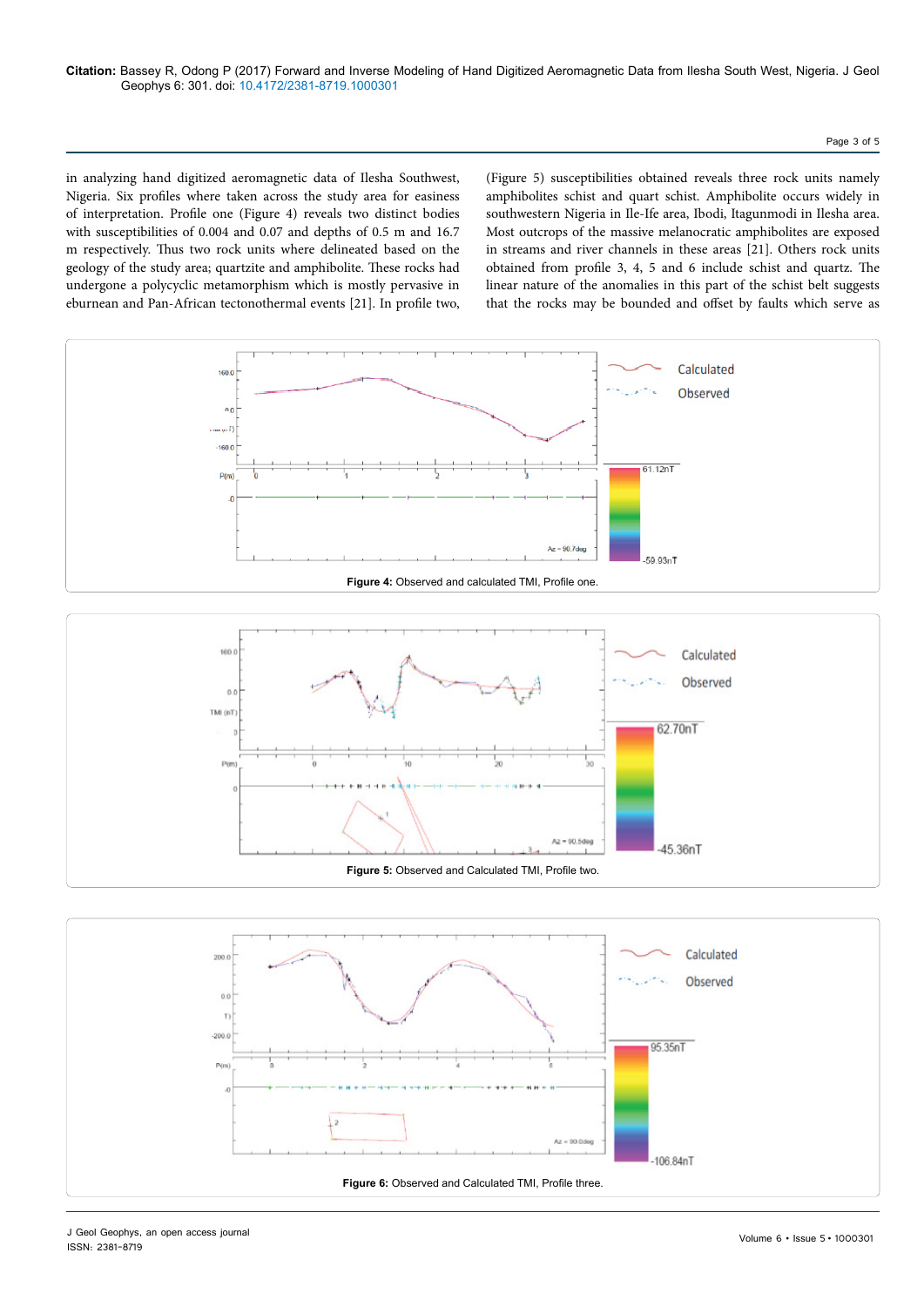#### Page 3 of 5

in analyzing hand digitized aeromagnetic data of Ilesha Southwest, Nigeria. Six profiles where taken across the study area for easiness of interpretation. Profile one (Figure 4) reveals two distinct bodies with susceptibilities of 0.004 and 0.07 and depths of 0.5 m and 16.7 m respectively. Thus two rock units where delineated based on the geology of the study area; quartzite and amphibolite. These rocks had undergone a polycyclic metamorphism which is mostly pervasive in eburnean and Pan-African tectonothermal events [21]. In profile two,

(Figure 5) susceptibilities obtained reveals three rock units namely amphibolites schist and quart schist. Amphibolite occurs widely in southwestern Nigeria in Ile-Ife area, Ibodi, Itagunmodi in Ilesha area. Most outcrops of the massive melanocratic amphibolites are exposed in streams and river channels in these areas [21]. Others rock units obtained from profile 3, 4, 5 and 6 include schist and quartz. The linear nature of the anomalies in this part of the schist belt suggests that the rocks may be bounded and offset by faults which serve as





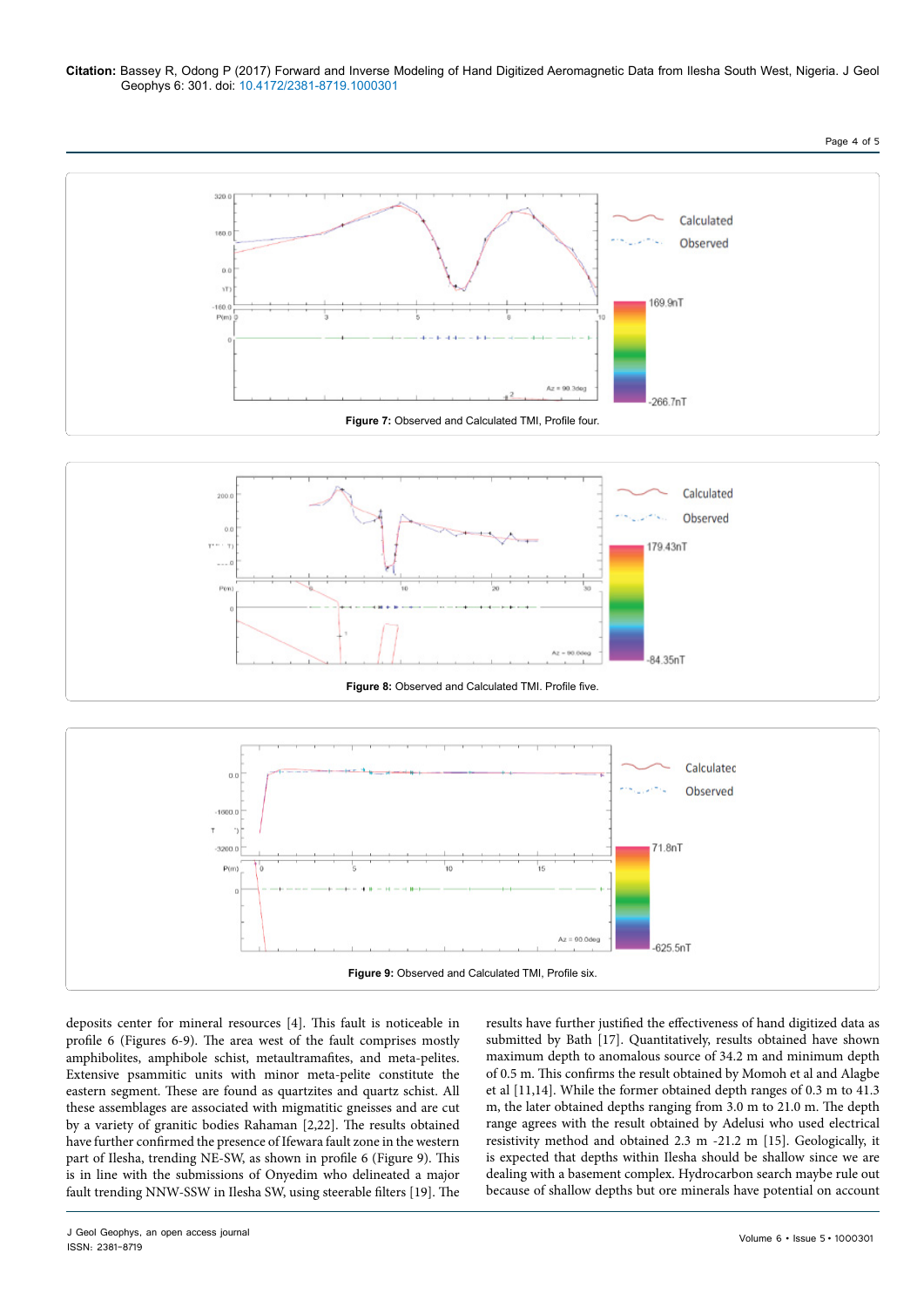#### **Citation:** Bassey R, Odong P (2017) Forward and Inverse Modeling of Hand Digitized Aeromagnetic Data from Ilesha South West, Nigeria. J Geol Geophys 6: 301. doi: 10.4172/2381-8719.1000301







deposits center for mineral resources [4]. This fault is noticeable in profile 6 (Figures 6-9). The area west of the fault comprises mostly amphibolites, amphibole schist, metaultramafites, and meta-pelites. Extensive psammitic units with minor meta-pelite constitute the eastern segment. These are found as quartzites and quartz schist. All these assemblages are associated with migmatitic gneisses and are cut by a variety of granitic bodies Rahaman [2,22]. The results obtained have further confirmed the presence of Ifewara fault zone in the western part of Ilesha, trending NE-SW, as shown in profile 6 (Figure 9). This is in line with the submissions of Onyedim who delineated a major fault trending NNW-SSW in Ilesha SW, using steerable filters [19]. The

results have further justified the effectiveness of hand digitized data as submitted by Bath [17]. Quantitatively, results obtained have shown maximum depth to anomalous source of 34.2 m and minimum depth of 0.5 m. This confirms the result obtained by Momoh et al and Alagbe et al [11,14]. While the former obtained depth ranges of 0.3 m to 41.3 m, the later obtained depths ranging from 3.0 m to 21.0 m. The depth range agrees with the result obtained by Adelusi who used electrical resistivity method and obtained 2.3 m -21.2 m [15]. Geologically, it is expected that depths within Ilesha should be shallow since we are dealing with a basement complex. Hydrocarbon search maybe rule out because of shallow depths but ore minerals have potential on account

Page 4 of 5